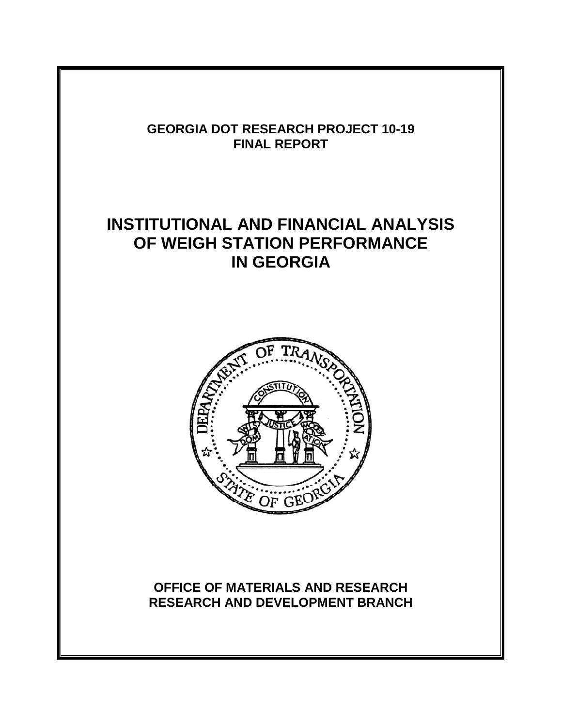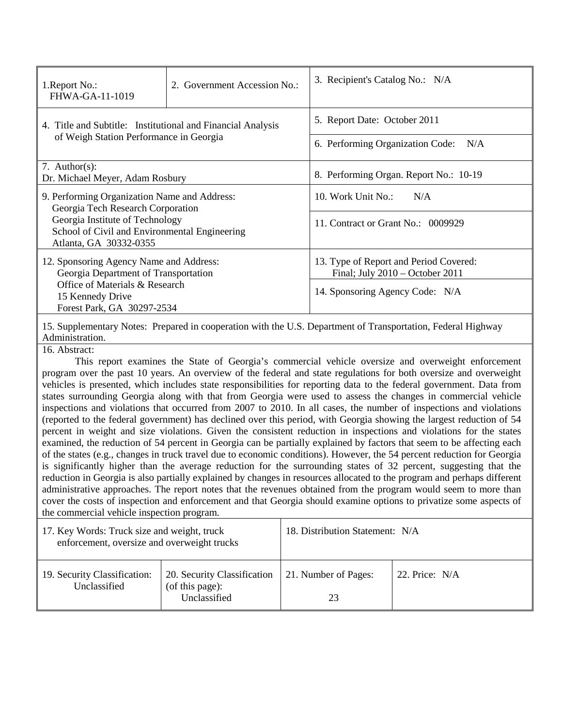| 1. Report No.:<br>FHWA-GA-11-1019                                                                                                                                                               | Government Accession No.:<br>2. | 3. Recipient's Catalog No.: N/A                                                                              |  |
|-------------------------------------------------------------------------------------------------------------------------------------------------------------------------------------------------|---------------------------------|--------------------------------------------------------------------------------------------------------------|--|
| 4. Title and Subtitle: Institutional and Financial Analysis<br>of Weigh Station Performance in Georgia                                                                                          |                                 | 5. Report Date: October 2011<br>6. Performing Organization Code:<br>N/A                                      |  |
| 7. Author(s):<br>Dr. Michael Meyer, Adam Rosbury                                                                                                                                                |                                 | 8. Performing Organ. Report No.: 10-19                                                                       |  |
| 9. Performing Organization Name and Address:<br>Georgia Tech Research Corporation<br>Georgia Institute of Technology<br>School of Civil and Environmental Engineering<br>Atlanta, GA 30332-0355 |                                 | 10. Work Unit No.:<br>N/A<br>11. Contract or Grant No.: 0009929                                              |  |
| 12. Sponsoring Agency Name and Address:<br>Georgia Department of Transportation<br>Office of Materials & Research<br>15 Kennedy Drive<br>Forest Park, GA 30297-2534                             |                                 | 13. Type of Report and Period Covered:<br>Final; July 2010 - October 2011<br>14. Sponsoring Agency Code: N/A |  |
| 15. Supplementary Notes: Prepared in cooperation with the U.S. Department of Transportation, Federal Highway<br>Administration.<br>16. Abstract:                                                |                                 |                                                                                                              |  |
| This report examines the State of Georgia's commercial vehicle oversize and overweight enforcement                                                                                              |                                 |                                                                                                              |  |

program over the past 10 years. An overview of the federal and state regulations for both oversize and overweight vehicles is presented, which includes state responsibilities for reporting data to the federal government. Data from states surrounding Georgia along with that from Georgia were used to assess the changes in commercial vehicle inspections and violations that occurred from 2007 to 2010. In all cases, the number of inspections and violations (reported to the federal government) has declined over this period, with Georgia showing the largest reduction of 54 percent in weight and size violations. Given the consistent reduction in inspections and violations for the states examined, the reduction of 54 percent in Georgia can be partially explained by factors that seem to be affecting each of the states (e.g., changes in truck travel due to economic conditions). However, the 54 percent reduction for Georgia is significantly higher than the average reduction for the surrounding states of 32 percent, suggesting that the reduction in Georgia is also partially explained by changes in resources allocated to the program and perhaps different administrative approaches. The report notes that the revenues obtained from the program would seem to more than cover the costs of inspection and enforcement and that Georgia should examine options to privatize some aspects of the commercial vehicle inspection program.

| 17. Key Words: Truck size and weight, truck<br>enforcement, oversize and overweight trucks |                                                                | 18. Distribution Statement: N/A |                  |
|--------------------------------------------------------------------------------------------|----------------------------------------------------------------|---------------------------------|------------------|
| 19. Security Classification:<br>Unclassified                                               | 20. Security Classification<br>(of this page):<br>Unclassified | 21. Number of Pages:<br>23      | 22. Price: $N/A$ |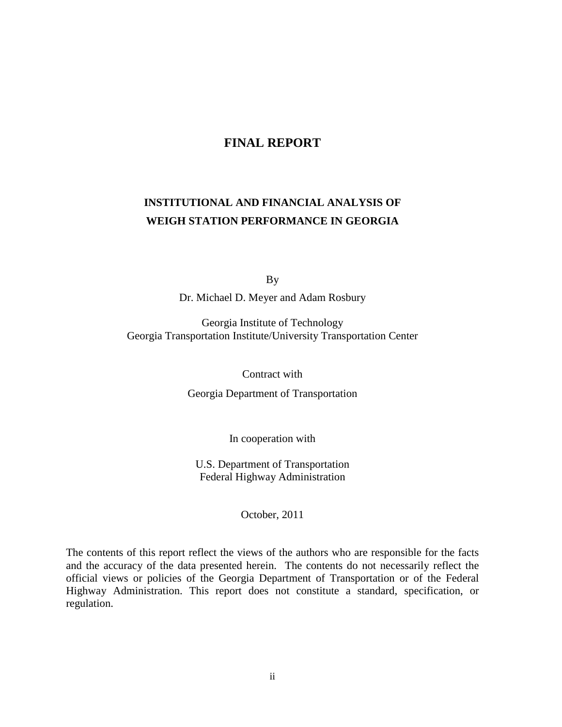## **FINAL REPORT**

# **INSTITUTIONAL AND FINANCIAL ANALYSIS OF WEIGH STATION PERFORMANCE IN GEORGIA**

By

Dr. Michael D. Meyer and Adam Rosbury

Georgia Institute of Technology Georgia Transportation Institute/University Transportation Center

Contract with

Georgia Department of Transportation

In cooperation with

U.S. Department of Transportation Federal Highway Administration

October, 2011

The contents of this report reflect the views of the authors who are responsible for the facts and the accuracy of the data presented herein. The contents do not necessarily reflect the official views or policies of the Georgia Department of Transportation or of the Federal Highway Administration. This report does not constitute a standard, specification, or regulation.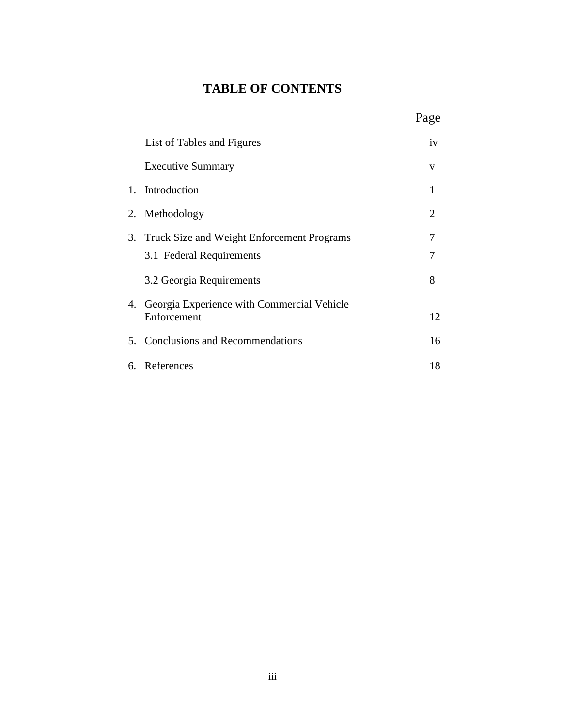# **TABLE OF CONTENTS**

|    |                                                              | age            |
|----|--------------------------------------------------------------|----------------|
|    | List of Tables and Figures                                   | iv             |
|    | <b>Executive Summary</b>                                     | V              |
| 1. | Introduction                                                 | $\mathbf{1}$   |
|    | 2. Methodology                                               | $\overline{2}$ |
|    | 3. Truck Size and Weight Enforcement Programs                | 7              |
|    | 3.1 Federal Requirements                                     | 7              |
|    | 3.2 Georgia Requirements                                     | 8              |
|    | 4. Georgia Experience with Commercial Vehicle<br>Enforcement | 12             |
|    | 5. Conclusions and Recommendations                           | 16             |
|    | 6. References                                                | 18             |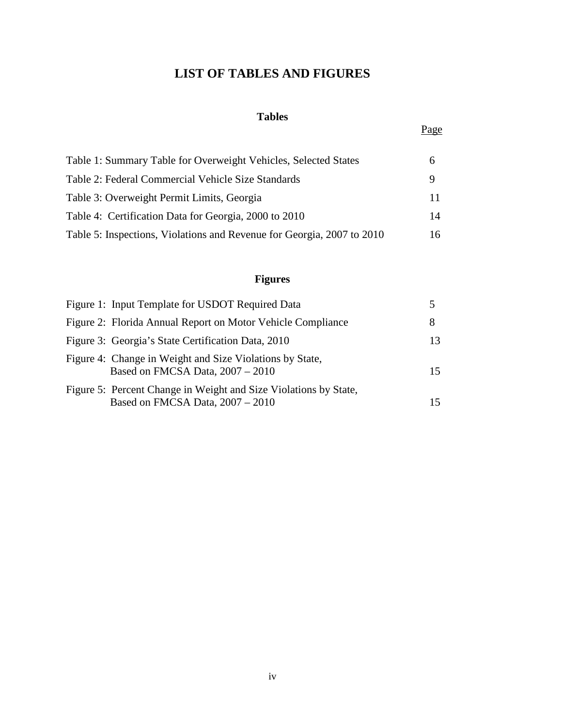# **LIST OF TABLES AND FIGURES**

## **Tables**

#### <u>Page</u>

| Table 1: Summary Table for Overweight Vehicles, Selected States        | <sub>0</sub> |
|------------------------------------------------------------------------|--------------|
| Table 2: Federal Commercial Vehicle Size Standards                     | 9            |
| Table 3: Overweight Permit Limits, Georgia                             |              |
| Table 4: Certification Data for Georgia, 2000 to 2010                  | 14           |
| Table 5: Inspections, Violations and Revenue for Georgia, 2007 to 2010 | 16           |

# **Figures**

| Figure 1: Input Template for USDOT Required Data                                                     |     |
|------------------------------------------------------------------------------------------------------|-----|
| Figure 2: Florida Annual Report on Motor Vehicle Compliance                                          | 8   |
| Figure 3: Georgia's State Certification Data, 2010                                                   | 13. |
| Figure 4: Change in Weight and Size Violations by State,<br>Based on FMCSA Data, 2007 - 2010         | 15  |
| Figure 5: Percent Change in Weight and Size Violations by State,<br>Based on FMCSA Data, 2007 - 2010 |     |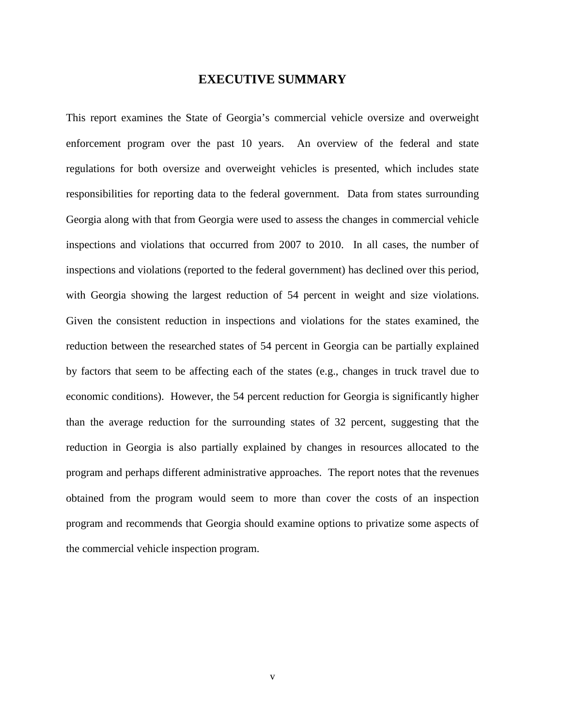#### **EXECUTIVE SUMMARY**

This report examines the State of Georgia's commercial vehicle oversize and overweight enforcement program over the past 10 years. An overview of the federal and state regulations for both oversize and overweight vehicles is presented, which includes state responsibilities for reporting data to the federal government. Data from states surrounding Georgia along with that from Georgia were used to assess the changes in commercial vehicle inspections and violations that occurred from 2007 to 2010. In all cases, the number of inspections and violations (reported to the federal government) has declined over this period, with Georgia showing the largest reduction of 54 percent in weight and size violations. Given the consistent reduction in inspections and violations for the states examined, the reduction between the researched states of 54 percent in Georgia can be partially explained by factors that seem to be affecting each of the states (e.g., changes in truck travel due to economic conditions). However, the 54 percent reduction for Georgia is significantly higher than the average reduction for the surrounding states of 32 percent, suggesting that the reduction in Georgia is also partially explained by changes in resources allocated to the program and perhaps different administrative approaches. The report notes that the revenues obtained from the program would seem to more than cover the costs of an inspection program and recommends that Georgia should examine options to privatize some aspects of the commercial vehicle inspection program.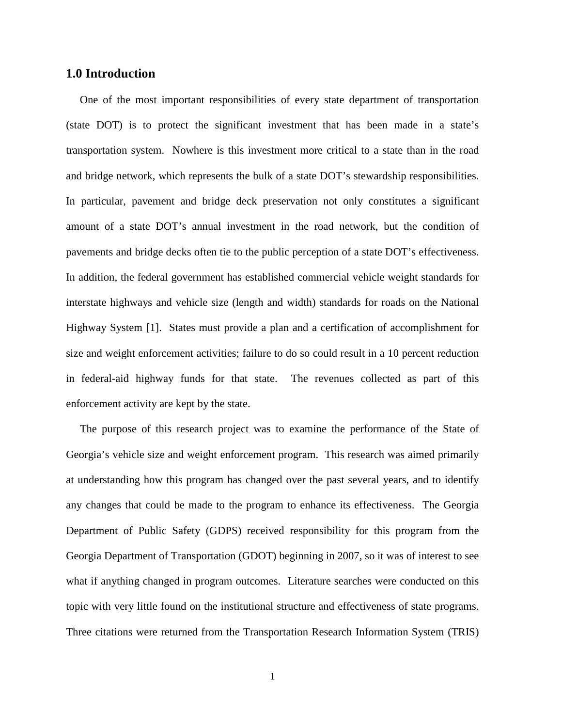#### **1.0 Introduction**

 One of the most important responsibilities of every state department of transportation (state DOT) is to protect the significant investment that has been made in a state's transportation system. Nowhere is this investment more critical to a state than in the road and bridge network, which represents the bulk of a state DOT's stewardship responsibilities. In particular, pavement and bridge deck preservation not only constitutes a significant amount of a state DOT's annual investment in the road network, but the condition of pavements and bridge decks often tie to the public perception of a state DOT's effectiveness. In addition, the federal government has established commercial vehicle weight standards for interstate highways and vehicle size (length and width) standards for roads on the National Highway System [1]. States must provide a plan and a certification of accomplishment for size and weight enforcement activities; failure to do so could result in a 10 percent reduction in federal-aid highway funds for that state. The revenues collected as part of this enforcement activity are kept by the state.

 The purpose of this research project was to examine the performance of the State of Georgia's vehicle size and weight enforcement program. This research was aimed primarily at understanding how this program has changed over the past several years, and to identify any changes that could be made to the program to enhance its effectiveness. The Georgia Department of Public Safety (GDPS) received responsibility for this program from the Georgia Department of Transportation (GDOT) beginning in 2007, so it was of interest to see what if anything changed in program outcomes. Literature searches were conducted on this topic with very little found on the institutional structure and effectiveness of state programs. Three citations were returned from the Transportation Research Information System (TRIS)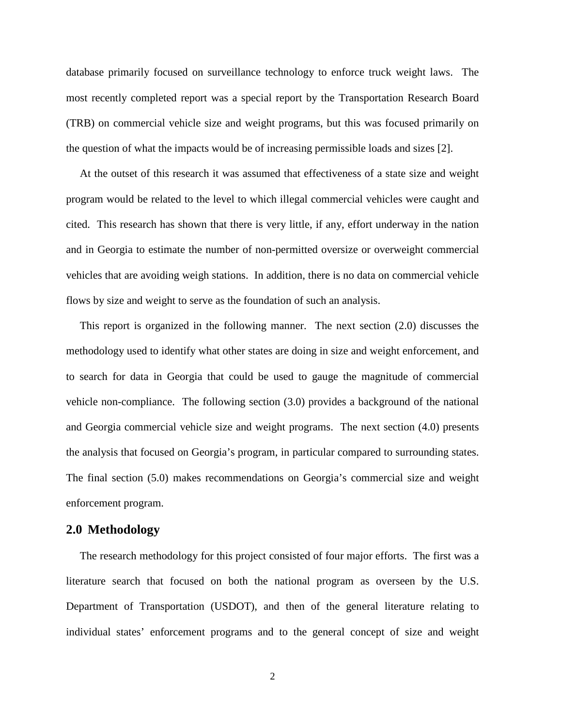database primarily focused on surveillance technology to enforce truck weight laws. The most recently completed report was a special report by the Transportation Research Board (TRB) on commercial vehicle size and weight programs, but this was focused primarily on the question of what the impacts would be of increasing permissible loads and sizes [2].

 At the outset of this research it was assumed that effectiveness of a state size and weight program would be related to the level to which illegal commercial vehicles were caught and cited. This research has shown that there is very little, if any, effort underway in the nation and in Georgia to estimate the number of non-permitted oversize or overweight commercial vehicles that are avoiding weigh stations. In addition, there is no data on commercial vehicle flows by size and weight to serve as the foundation of such an analysis.

 This report is organized in the following manner. The next section (2.0) discusses the methodology used to identify what other states are doing in size and weight enforcement, and to search for data in Georgia that could be used to gauge the magnitude of commercial vehicle non-compliance. The following section (3.0) provides a background of the national and Georgia commercial vehicle size and weight programs. The next section (4.0) presents the analysis that focused on Georgia's program, in particular compared to surrounding states. The final section (5.0) makes recommendations on Georgia's commercial size and weight enforcement program.

#### **2.0 Methodology**

 The research methodology for this project consisted of four major efforts. The first was a literature search that focused on both the national program as overseen by the U.S. Department of Transportation (USDOT), and then of the general literature relating to individual states' enforcement programs and to the general concept of size and weight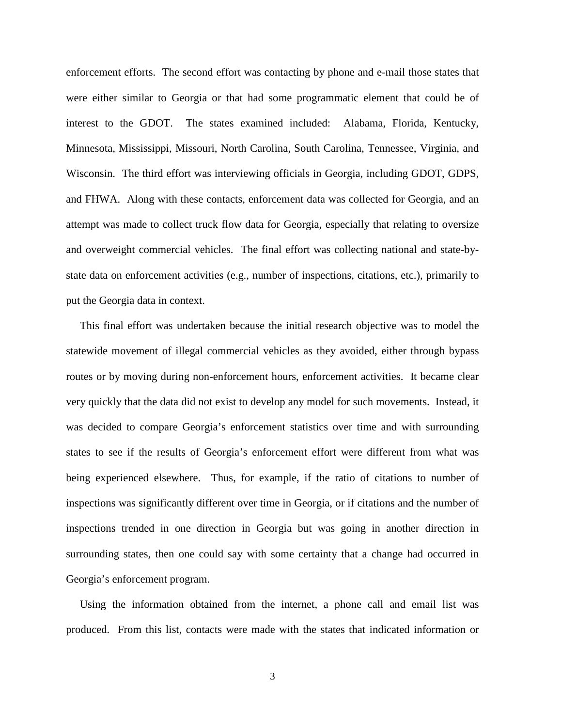enforcement efforts. The second effort was contacting by phone and e-mail those states that were either similar to Georgia or that had some programmatic element that could be of interest to the GDOT. The states examined included: Alabama, Florida, Kentucky, Minnesota, Mississippi, Missouri, North Carolina, South Carolina, Tennessee, Virginia, and Wisconsin. The third effort was interviewing officials in Georgia, including GDOT, GDPS, and FHWA. Along with these contacts, enforcement data was collected for Georgia, and an attempt was made to collect truck flow data for Georgia, especially that relating to oversize and overweight commercial vehicles. The final effort was collecting national and state-bystate data on enforcement activities (e.g., number of inspections, citations, etc.), primarily to put the Georgia data in context.

 This final effort was undertaken because the initial research objective was to model the statewide movement of illegal commercial vehicles as they avoided, either through bypass routes or by moving during non-enforcement hours, enforcement activities. It became clear very quickly that the data did not exist to develop any model for such movements. Instead, it was decided to compare Georgia's enforcement statistics over time and with surrounding states to see if the results of Georgia's enforcement effort were different from what was being experienced elsewhere. Thus, for example, if the ratio of citations to number of inspections was significantly different over time in Georgia, or if citations and the number of inspections trended in one direction in Georgia but was going in another direction in surrounding states, then one could say with some certainty that a change had occurred in Georgia's enforcement program.

 Using the information obtained from the internet, a phone call and email list was produced. From this list, contacts were made with the states that indicated information or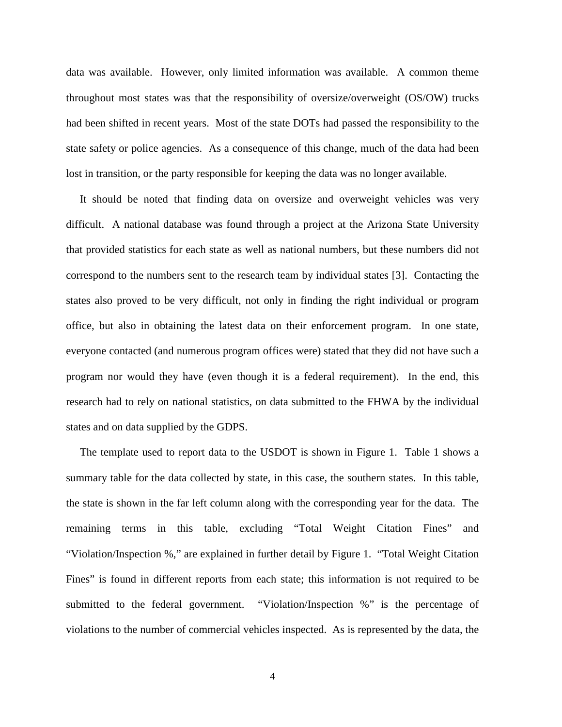data was available. However, only limited information was available. A common theme throughout most states was that the responsibility of oversize/overweight (OS/OW) trucks had been shifted in recent years. Most of the state DOTs had passed the responsibility to the state safety or police agencies. As a consequence of this change, much of the data had been lost in transition, or the party responsible for keeping the data was no longer available.

 It should be noted that finding data on oversize and overweight vehicles was very difficult. A national database was found through a project at the Arizona State University that provided statistics for each state as well as national numbers, but these numbers did not correspond to the numbers sent to the research team by individual states [3]. Contacting the states also proved to be very difficult, not only in finding the right individual or program office, but also in obtaining the latest data on their enforcement program. In one state, everyone contacted (and numerous program offices were) stated that they did not have such a program nor would they have (even though it is a federal requirement). In the end, this research had to rely on national statistics, on data submitted to the FHWA by the individual states and on data supplied by the GDPS.

 The template used to report data to the USDOT is shown in Figure 1. Table 1 shows a summary table for the data collected by state, in this case, the southern states. In this table, the state is shown in the far left column along with the corresponding year for the data. The remaining terms in this table, excluding "Total Weight Citation Fines" and "Violation/Inspection %," are explained in further detail by Figure 1. "Total Weight Citation Fines" is found in different reports from each state; this information is not required to be submitted to the federal government. "Violation/Inspection %" is the percentage of violations to the number of commercial vehicles inspected. As is represented by the data, the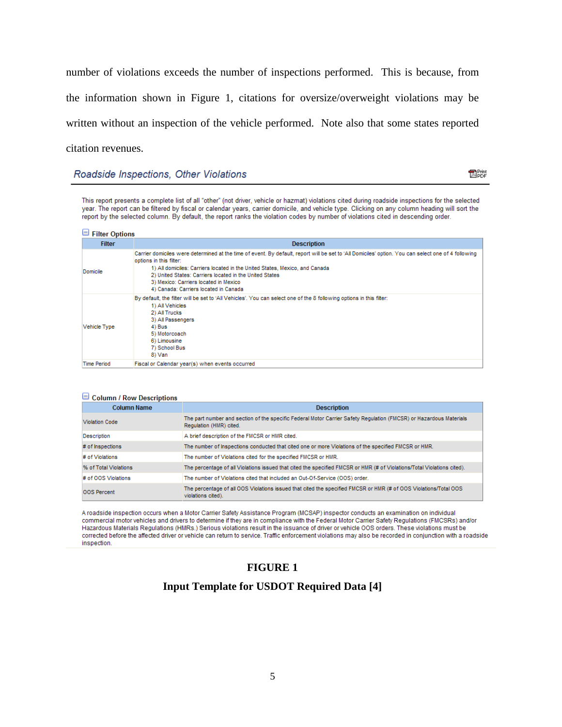number of violations exceeds the number of inspections performed. This is because, from the information shown in Figure 1, citations for oversize/overweight violations may be written without an inspection of the vehicle performed. Note also that some states reported citation revenues.

#### Roadside Inspections, Other Violations

**R**Print

This report presents a complete list of all "other" (not driver, vehicle or hazmat) violations cited during roadside inspections for the selected year. The report can be filtered by fiscal or calendar years, carrier domicile, and vehicle type. Clicking on any column heading will sort the report by the selected column. By default, the report ranks the violation codes by number of violations cited in descending order.

| $\Box$ Filter Options |                                                                                                                                                                                                                                                                                                                                                                                                            |  |
|-----------------------|------------------------------------------------------------------------------------------------------------------------------------------------------------------------------------------------------------------------------------------------------------------------------------------------------------------------------------------------------------------------------------------------------------|--|
| <b>Filter</b>         | <b>Description</b>                                                                                                                                                                                                                                                                                                                                                                                         |  |
| Domicile              | Carrier domiciles were determined at the time of event. By default, report will be set to 'All Domiciles' option. You can select one of 4 following<br>options in this filter:<br>1) All domiciles: Carriers located in the United States, Mexico, and Canada<br>2) United States: Carriers located in the United States<br>3) Mexico: Carriers located in Mexico<br>4) Canada: Carriers located in Canada |  |
| Vehicle Type          | By default, the filter will be set to 'All Vehicles'. You can select one of the 8 following options in this filter:<br>1) All Vehicles<br>2) All Trucks<br>3) All Passengers<br>4) Bus<br>5) Motorcoach<br>6) Limousine<br>7) School Bus<br>8) Van                                                                                                                                                         |  |
| <b>Time Period</b>    | Fiscal or Calendar year(s) when events occurred                                                                                                                                                                                                                                                                                                                                                            |  |

| $\Box$ Column / Row Descriptions |                                                                                                                                               |
|----------------------------------|-----------------------------------------------------------------------------------------------------------------------------------------------|
| <b>Column Name</b>               | <b>Description</b>                                                                                                                            |
| <b>Violation Code</b>            | The part number and section of the specific Federal Motor Carrier Safety Regulation (FMCSR) or Hazardous Materials<br>Regulation (HMR) cited. |
| <b>Description</b>               | A brief description of the FMCSR or HMR cited.                                                                                                |
| # of Inspections                 | The number of Inspections conducted that cited one or more Violations of the specified FMCSR or HMR.                                          |
| # of Violations                  | The number of Violations cited for the specified FMCSR or HMR.                                                                                |
| % of Total Violations            | The percentage of all Violations issued that cited the specified FMCSR or HMR (# of Violations/Total Violations cited).                       |
| # of OOS Violations              | The number of Violations cited that included an Out-Of-Service (OOS) order.                                                                   |
| OOS Percent                      | The percentage of all OOS Violations issued that cited the specified FMCSR or HMR (# of OOS Violations/Total OOS<br>violations cited).        |

A roadside inspection occurs when a Motor Carrier Safety Assistance Program (MCSAP) inspector conducts an examination on individual commercial motor vehicles and drivers to determine if they are in compliance with the Federal Motor Carrier Safety Regulations (FMCSRs) and/or Hazardous Materials Regulations (HMRs.) Serious violations result in the issuance of driver or vehicle OOS orders. These violations must be corrected before the affected driver or vehicle can return to service. Traffic enforcement violations may also be recorded in conjunction with a roadside inspection.

#### **FIGURE 1**

#### **Input Template for USDOT Required Data [4]**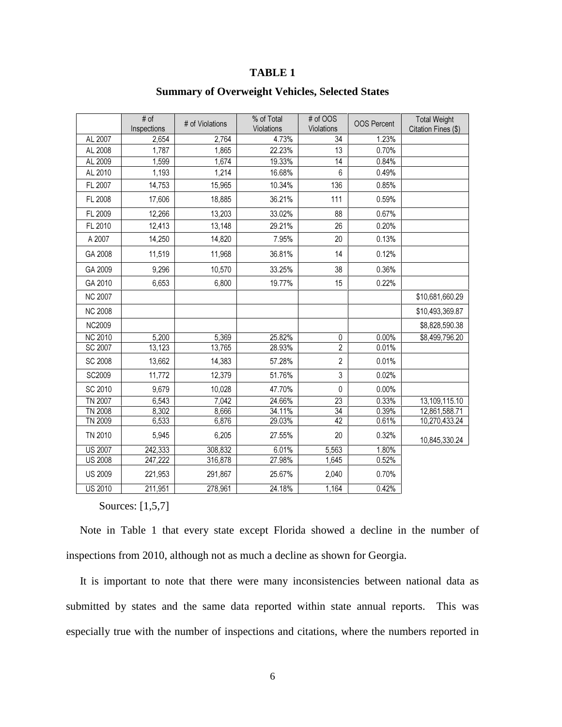## **TABLE 1**

|                | # of<br>Inspections | # of Violations | % of Total<br>Violations | # of OOS<br>Violations | <b>OOS Percent</b> | <b>Total Weight</b><br>Citation Fines (\$) |
|----------------|---------------------|-----------------|--------------------------|------------------------|--------------------|--------------------------------------------|
| AL 2007        | 2,654               | 2,764           | 4.73%                    | 34                     | 1.23%              |                                            |
| AL 2008        | 1,787               | 1,865           | 22.23%                   | 13                     | 0.70%              |                                            |
| AL 2009        | 1,599               | 1,674           | 19.33%                   | $\overline{14}$        | 0.84%              |                                            |
| AL 2010        | 1,193               | 1,214           | 16.68%                   | 6                      | 0.49%              |                                            |
| FL 2007        | 14,753              | 15,965          | 10.34%                   | 136                    | 0.85%              |                                            |
| FL 2008        | 17,606              | 18,885          | 36.21%                   | 111                    | 0.59%              |                                            |
| FL 2009        | 12,266              | 13.203          | 33.02%                   | 88                     | 0.67%              |                                            |
| FL 2010        | 12,413              | 13,148          | 29.21%                   | 26                     | 0.20%              |                                            |
| A 2007         | 14,250              | 14,820          | 7.95%                    | 20                     | 0.13%              |                                            |
| GA 2008        | 11,519              | 11,968          | 36.81%                   | 14                     | 0.12%              |                                            |
| GA 2009        | 9,296               | 10,570          | 33.25%                   | 38                     | 0.36%              |                                            |
| GA 2010        | 6,653               | 6,800           | 19.77%                   | 15                     | 0.22%              |                                            |
| <b>NC 2007</b> |                     |                 |                          |                        |                    | \$10,681,660.29                            |
| <b>NC 2008</b> |                     |                 |                          |                        |                    | \$10,493,369.87                            |
| <b>NC2009</b>  |                     |                 |                          |                        |                    | \$8,828,590.38                             |
| <b>NC 2010</b> | 5,200               | 5,369           | 25.82%                   | 0                      | 0.00%              | \$8,499,796.20                             |
| SC 2007        | 13,123              | 13,765          | 28.93%                   | $\overline{2}$         | 0.01%              |                                            |
| <b>SC 2008</b> | 13,662              | 14,383          | 57.28%                   | $\overline{2}$         | 0.01%              |                                            |
| SC2009         | 11,772              | 12,379          | 51.76%                   | $\mathfrak{Z}$         | 0.02%              |                                            |
| SC 2010        | 9,679               | 10,028          | 47.70%                   | 0                      | 0.00%              |                                            |
| <b>TN 2007</b> | 6,543               | 7,042           | 24.66%                   | $\overline{23}$        | 0.33%              | 13,109,115.10                              |
| <b>TN 2008</b> | 8,302               | 8,666           | 34.11%                   | $\overline{34}$        | 0.39%              | 12,861,588.71                              |
| TN 2009        | 6,533               | 6,876           | 29.03%                   | 42                     | 0.61%              | 10,270,433.24                              |
| TN 2010        | 5,945               | 6,205           | 27.55%                   | 20                     | 0.32%              | 10,845,330.24                              |
| <b>US 2007</b> | 242,333             | 308,832         | 6.01%                    | 5,563                  | 1.80%              |                                            |
| <b>US 2008</b> | 247,222             | 316,878         | 27.98%                   | 1,645                  | 0.52%              |                                            |
| <b>US 2009</b> | 221,953             | 291,867         | 25.67%                   | 2,040                  | 0.70%              |                                            |
| <b>US 2010</b> | 211,951             | 278,961         | 24.18%                   | 1,164                  | 0.42%              |                                            |

## **Summary of Overweight Vehicles, Selected States**

#### Sources: [1,5,7]

 Note in Table 1 that every state except Florida showed a decline in the number of inspections from 2010, although not as much a decline as shown for Georgia.

 It is important to note that there were many inconsistencies between national data as submitted by states and the same data reported within state annual reports. This was especially true with the number of inspections and citations, where the numbers reported in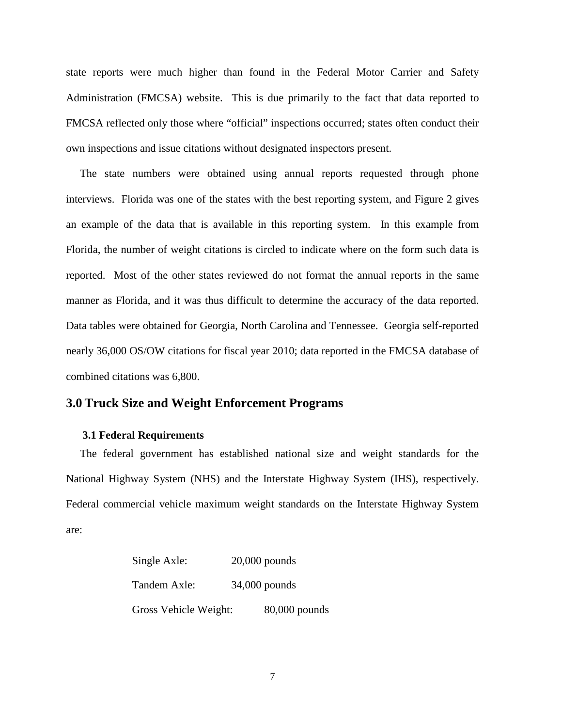state reports were much higher than found in the Federal Motor Carrier and Safety Administration (FMCSA) website. This is due primarily to the fact that data reported to FMCSA reflected only those where "official" inspections occurred; states often conduct their own inspections and issue citations without designated inspectors present.

 The state numbers were obtained using annual reports requested through phone interviews. Florida was one of the states with the best reporting system, and Figure 2 gives an example of the data that is available in this reporting system. In this example from Florida, the number of weight citations is circled to indicate where on the form such data is reported. Most of the other states reviewed do not format the annual reports in the same manner as Florida, and it was thus difficult to determine the accuracy of the data reported. Data tables were obtained for Georgia, North Carolina and Tennessee. Georgia self-reported nearly 36,000 OS/OW citations for fiscal year 2010; data reported in the FMCSA database of combined citations was 6,800.

## **3.0 Truck Size and Weight Enforcement Programs**

#### **3.1 Federal Requirements**

 The federal government has established national size and weight standards for the National Highway System (NHS) and the Interstate Highway System (IHS), respectively. Federal commercial vehicle maximum weight standards on the Interstate Highway System are:

| Single Axle:          | $20,000$ pounds |
|-----------------------|-----------------|
| Tandem Axle:          | $34,000$ pounds |
| Gross Vehicle Weight: | 80,000 pounds   |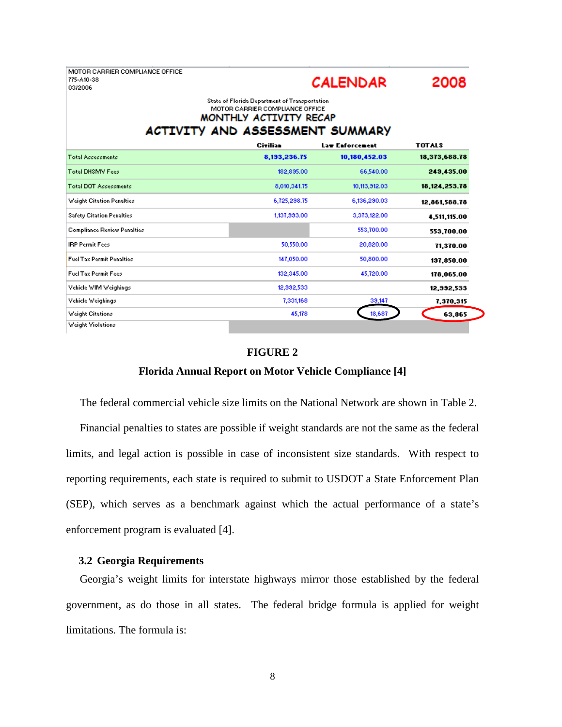MOTOR CARRIER COMPLIANCE OFFICE 775-A10-38 03/2006



#### State of Florida Department of Transportation MOTOR CARRIER COMPLIANCE OFFICE MONTHLY ACTIVITY RECAP ACTIVITY AND ASSESSMENT SUMMARY

|                                    | Civilian     | Law Enforcement | <b>TOTALS</b>    |
|------------------------------------|--------------|-----------------|------------------|
| <b>Total Assessments</b>           | 8,193,236.75 | 10,180,452.03   | 18,373,688.78    |
| <b>Total DHSMV Fees</b>            | 182,895.00   | 66,540.00       | 249,435.00       |
| <b>Total DOT Assessments</b>       | 8,010,341.75 | 10,113,912.03   | 18, 124, 253. 78 |
| Weight Citation Penalties          | 6,725,298.75 | 6,136,290.03    | 12,861,588.78    |
| <b>Safety Citation Penalties</b>   | 1,137,993.00 | 3,373,122.00    | 4,511,115.00     |
| <b>Compliance Review Penalties</b> |              | 553,700.00      | 553,700.00       |
| <b>IRP Permit Fees</b>             | 50,550.00    | 20,820.00       | 71,370.00        |
| <b>Fuel Tax Permit Penalties</b>   | 147,050.00   | 50,800.00       | 197,850.00       |
| <b>Fuel Tax Permit Fees</b>        | 132,345.00   | 45,720.00       | 178,065.00       |
| Vehicle WIM Weighings              | 12,992,533   |                 | 12,992,533       |
| Vehicle Weighings                  | 7,331,168    | 39,147          | 7,370,315        |
| <b>Weight Citations</b>            | 45,178       | 18,687          | 63,865           |
| Weight Violations                  |              |                 |                  |

#### **FIGURE 2**

#### **Florida Annual Report on Motor Vehicle Compliance [4]**

The federal commercial vehicle size limits on the National Network are shown in Table 2.

 Financial penalties to states are possible if weight standards are not the same as the federal limits, and legal action is possible in case of inconsistent size standards. With respect to reporting requirements, each state is required to submit to USDOT a State Enforcement Plan (SEP), which serves as a benchmark against which the actual performance of a state's enforcement program is evaluated [4].

#### **3.2 Georgia Requirements**

Georgia's weight limits for interstate highways mirror those established by the federal government, as do those in all states. The federal bridge formula is applied for weight limitations. The formula is: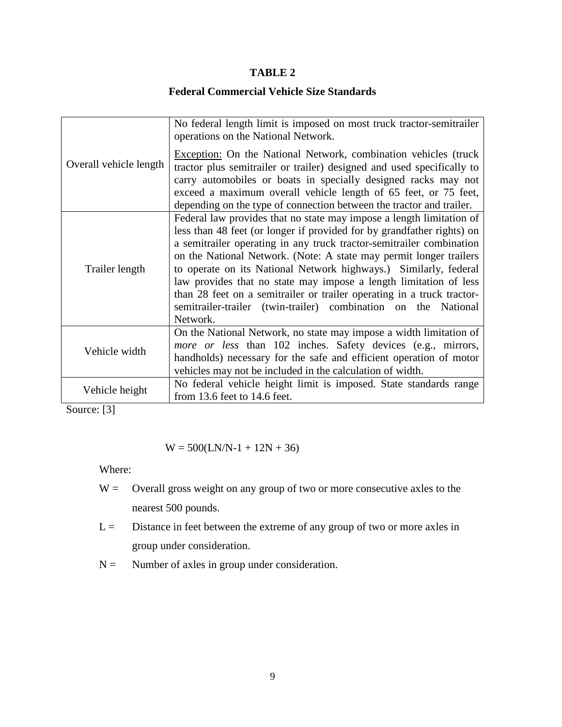#### **TABLE 2**

## **Federal Commercial Vehicle Size Standards**

|                        | No federal length limit is imposed on most truck tractor-semitrailer<br>operations on the National Network.                                                                                                                                                                                                                                                                                                                                                                                                                                                                                   |
|------------------------|-----------------------------------------------------------------------------------------------------------------------------------------------------------------------------------------------------------------------------------------------------------------------------------------------------------------------------------------------------------------------------------------------------------------------------------------------------------------------------------------------------------------------------------------------------------------------------------------------|
| Overall vehicle length | <b>Exception:</b> On the National Network, combination vehicles (truck<br>tractor plus semitrailer or trailer) designed and used specifically to<br>carry automobiles or boats in specially designed racks may not<br>exceed a maximum overall vehicle length of 65 feet, or 75 feet,<br>depending on the type of connection between the tractor and trailer.                                                                                                                                                                                                                                 |
| Trailer length         | Federal law provides that no state may impose a length limitation of<br>less than 48 feet (or longer if provided for by grandfather rights) on<br>a semitrailer operating in any truck tractor-semitrailer combination<br>on the National Network. (Note: A state may permit longer trailers<br>to operate on its National Network highways.) Similarly, federal<br>law provides that no state may impose a length limitation of less<br>than 28 feet on a semitrailer or trailer operating in a truck tractor-<br>semitrailer-trailer (twin-trailer) combination on the National<br>Network. |
| Vehicle width          | On the National Network, no state may impose a width limitation of<br>more or less than 102 inches. Safety devices (e.g., mirrors,<br>handholds) necessary for the safe and efficient operation of motor<br>vehicles may not be included in the calculation of width.                                                                                                                                                                                                                                                                                                                         |
| Vehicle height         | No federal vehicle height limit is imposed. State standards range<br>from 13.6 feet to 14.6 feet.                                                                                                                                                                                                                                                                                                                                                                                                                                                                                             |

Source: [3]

$$
W = 500(LN/N-1 + 12N + 36)
$$

Where:

- $W =$  Overall gross weight on any group of two or more consecutive axles to the nearest 500 pounds.
- $L =$  Distance in feet between the extreme of any group of two or more axles in group under consideration.
- $N =$  Number of axles in group under consideration.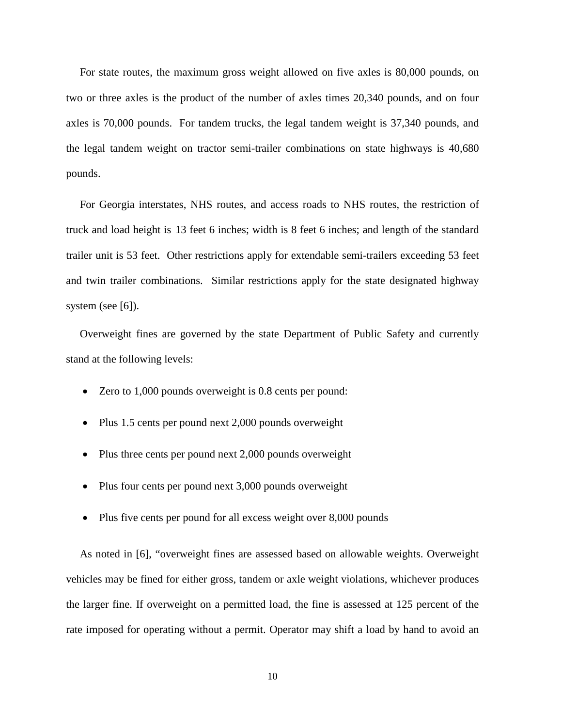For state routes, the maximum gross weight allowed on five axles is 80,000 pounds, on two or three axles is the product of the number of axles times 20,340 pounds, and on four axles is 70,000 pounds. For tandem trucks, the legal tandem weight is 37,340 pounds, and the legal tandem weight on tractor semi-trailer combinations on state highways is 40,680 pounds.

 For Georgia interstates, NHS routes, and access roads to NHS routes, the restriction of truck and load height is 13 feet 6 inches; width is 8 feet 6 inches; and length of the standard trailer unit is 53 feet. Other restrictions apply for extendable semi-trailers exceeding 53 feet and twin trailer combinations. Similar restrictions apply for the state designated highway system (see [6]).

 Overweight fines are governed by the state Department of Public Safety and currently stand at the following levels:

- Zero to 1,000 pounds overweight is 0.8 cents per pound:
- Plus 1.5 cents per pound next 2,000 pounds overweight
- Plus three cents per pound next 2,000 pounds overweight
- Plus four cents per pound next 3,000 pounds overweight
- Plus five cents per pound for all excess weight over 8,000 pounds

 As noted in [6], "overweight fines are assessed based on allowable weights. Overweight vehicles may be fined for either gross, tandem or axle weight violations, whichever produces the larger fine. If overweight on a permitted load, the fine is assessed at 125 percent of the rate imposed for operating without a permit. Operator may shift a load by hand to avoid an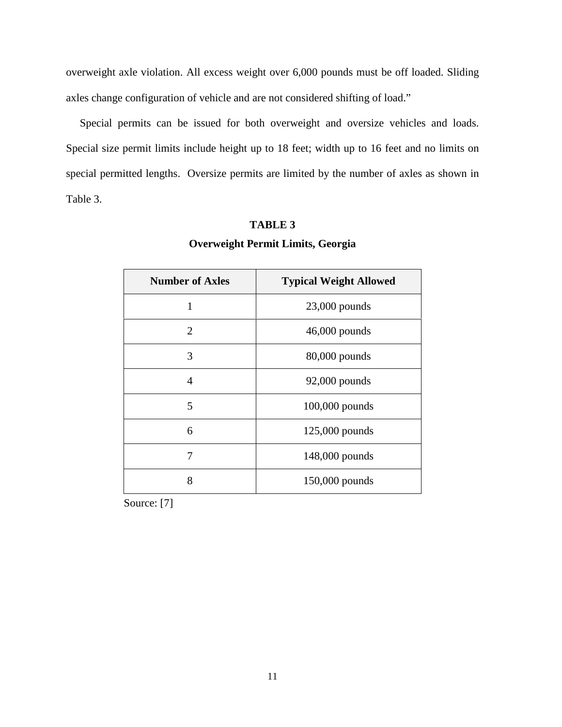overweight axle violation. All excess weight over 6,000 pounds must be off loaded. Sliding axles change configuration of vehicle and are not considered shifting of load."

 Special permits can be issued for both overweight and oversize vehicles and loads. Special size permit limits include height up to 18 feet; width up to 16 feet and no limits on special permitted lengths. Oversize permits are limited by the number of axles as shown in Table 3.

| <b>Number of Axles</b> | <b>Typical Weight Allowed</b> |
|------------------------|-------------------------------|
| $\mathbf{1}$           | 23,000 pounds                 |
| $\overline{2}$         | 46,000 pounds                 |
| 3                      | 80,000 pounds                 |
| 4                      | 92,000 pounds                 |
| 5                      | 100,000 pounds                |
| 6                      | 125,000 pounds                |
| 7                      | 148,000 pounds                |
| 8                      | 150,000 pounds                |

# **TABLE 3 Overweight Permit Limits, Georgia**

Source: [7]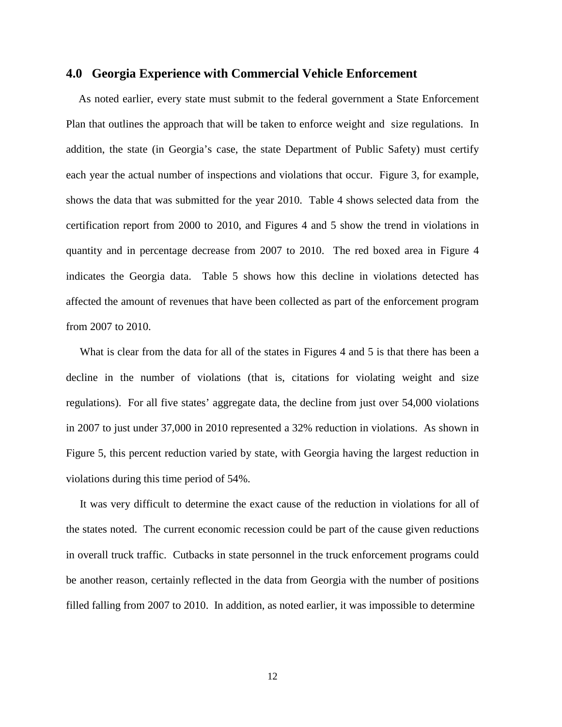#### **4.0 Georgia Experience with Commercial Vehicle Enforcement**

 As noted earlier, every state must submit to the federal government a State Enforcement Plan that outlines the approach that will be taken to enforce weight and size regulations. In addition, the state (in Georgia's case, the state Department of Public Safety) must certify each year the actual number of inspections and violations that occur. Figure 3, for example, shows the data that was submitted for the year 2010. Table 4 shows selected data from the certification report from 2000 to 2010, and Figures 4 and 5 show the trend in violations in quantity and in percentage decrease from 2007 to 2010. The red boxed area in Figure 4 indicates the Georgia data. Table 5 shows how this decline in violations detected has affected the amount of revenues that have been collected as part of the enforcement program from 2007 to 2010.

What is clear from the data for all of the states in Figures 4 and 5 is that there has been a decline in the number of violations (that is, citations for violating weight and size regulations). For all five states' aggregate data, the decline from just over 54,000 violations in 2007 to just under 37,000 in 2010 represented a 32% reduction in violations. As shown in Figure 5, this percent reduction varied by state, with Georgia having the largest reduction in violations during this time period of 54%.

 It was very difficult to determine the exact cause of the reduction in violations for all of the states noted. The current economic recession could be part of the cause given reductions in overall truck traffic. Cutbacks in state personnel in the truck enforcement programs could be another reason, certainly reflected in the data from Georgia with the number of positions filled falling from 2007 to 2010. In addition, as noted earlier, it was impossible to determine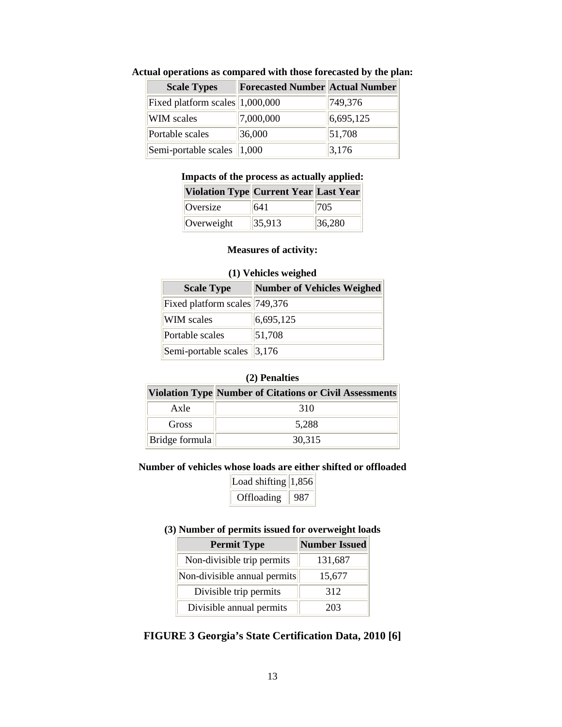| <b>Scale Types</b>                   | <b>Forecasted Number Actual Number</b> |           |
|--------------------------------------|----------------------------------------|-----------|
| Fixed platform scales 1,000,000      |                                        | 749,376   |
| WIM scales                           | 7,000,000                              | 6,695,125 |
| Portable scales                      | 36,000                                 | 51,708    |
| Semi-portable scales $ 1,000\rangle$ |                                        | 3,176     |

#### **Actual operations as compared with those forecasted by the plan:**

#### **Impacts of the process as actually applied:**

| <b>Violation Type Current Year Last Year</b> |        |        |
|----------------------------------------------|--------|--------|
| Oversize                                     | 641    | 705    |
| Overweight                                   | 35,913 | 36,280 |

#### **Measures of activity:**

# **(1) Vehicles weighed Scale Type Number of Vehicles Weighed** Fixed platform scales 749,376 WIM scales  $\begin{array}{|l|}\n\hline\n6,695,125\n\end{array}$ Portable scales  $|51,708\rangle$ Semi-portable scales  $\vert 3,176 \rangle$

# **(2) Penalties**

|                | Violation Type Number of Citations or Civil Assessments |
|----------------|---------------------------------------------------------|
| Axle           | 310                                                     |
| Gross          | 5.288                                                   |
| Bridge formula | 30,315                                                  |

#### **Number of vehicles whose loads are either shifted or offloaded**

| Load shifting $ 1,856$ |     |
|------------------------|-----|
| Offloading             | 987 |

#### **(3) Number of permits issued for overweight loads**

| <b>Permit Type</b>           | <b>Number Issued</b> |
|------------------------------|----------------------|
| Non-divisible trip permits   | 131,687              |
| Non-divisible annual permits | 15,677               |
| Divisible trip permits       | 312                  |
| Divisible annual permits     | 203                  |

## **FIGURE 3 Georgia's State Certification Data, 2010 [6]**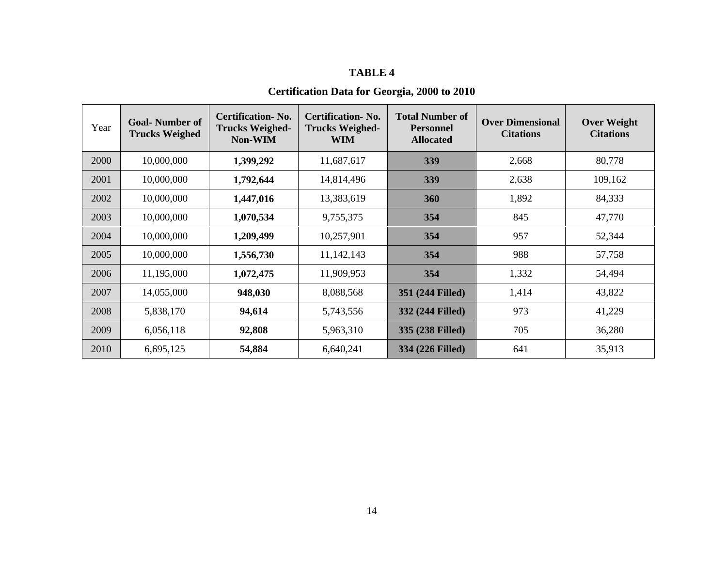#### **TABLE 4**

## **Certification Data for Georgia, 2000 to 2010**

| Year | <b>Goal-Number of</b><br><b>Trucks Weighed</b> | <b>Certification-No.</b><br><b>Trucks Weighed-</b><br><b>Non-WIM</b> | <b>Certification-No.</b><br><b>Trucks Weighed-</b><br>WIM | <b>Total Number of</b><br><b>Personnel</b><br><b>Allocated</b> | <b>Over Dimensional</b><br><b>Citations</b> | <b>Over Weight</b><br><b>Citations</b> |
|------|------------------------------------------------|----------------------------------------------------------------------|-----------------------------------------------------------|----------------------------------------------------------------|---------------------------------------------|----------------------------------------|
| 2000 | 10,000,000                                     | 1,399,292                                                            | 11,687,617                                                | 339                                                            | 2,668                                       | 80,778                                 |
| 2001 | 10,000,000                                     | 1,792,644                                                            | 14,814,496                                                | 339                                                            | 2,638                                       | 109,162                                |
| 2002 | 10,000,000                                     | 1,447,016                                                            | 13,383,619                                                | 360                                                            | 1,892                                       | 84,333                                 |
| 2003 | 10,000,000                                     | 1,070,534                                                            | 9,755,375                                                 | 354                                                            | 845                                         | 47,770                                 |
| 2004 | 10,000,000                                     | 1,209,499                                                            | 10,257,901                                                | 354                                                            | 957                                         | 52,344                                 |
| 2005 | 10,000,000                                     | 1,556,730                                                            | 11,142,143                                                | 354                                                            | 988                                         | 57,758                                 |
| 2006 | 11,195,000                                     | 1,072,475                                                            | 11,909,953                                                | 354                                                            | 1,332                                       | 54,494                                 |
| 2007 | 14,055,000                                     | 948,030                                                              | 8,088,568                                                 | 351 (244 Filled)                                               | 1,414                                       | 43,822                                 |
| 2008 | 5,838,170                                      | 94,614                                                               | 5,743,556                                                 | 332 (244 Filled)                                               | 973                                         | 41,229                                 |
| 2009 | 6,056,118                                      | 92,808                                                               | 5,963,310                                                 | 335 (238 Filled)                                               | 705                                         | 36,280                                 |
| 2010 | 6,695,125                                      | 54,884                                                               | 6,640,241                                                 | 334 (226 Filled)                                               | 641                                         | 35,913                                 |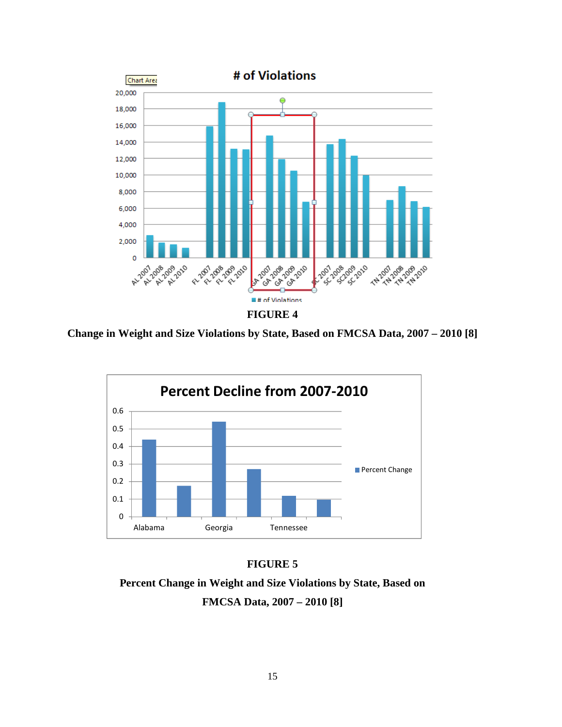

**Change in Weight and Size Violations by State, Based on FMCSA Data, 2007 – 2010 [8]** 



#### **FIGURE 5**

**Percent Change in Weight and Size Violations by State, Based on FMCSA Data, 2007 – 2010 [8]**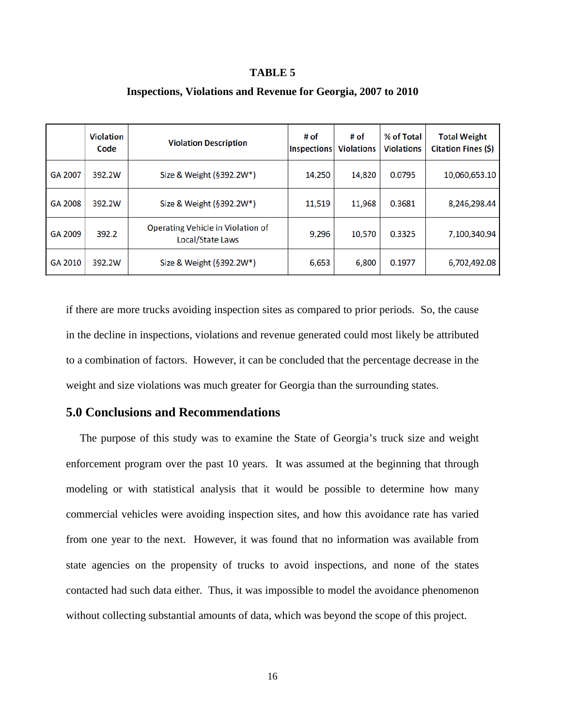#### **TABLE 5**

|         | <b>Violation</b><br>Code | <b>Violation Description</b>                          | # of<br><b>Inspections</b> | # of<br><b>Violations</b> | % of Total<br><b>Violations</b> | <b>Total Weight</b><br>Citation Fines (\$) |
|---------|--------------------------|-------------------------------------------------------|----------------------------|---------------------------|---------------------------------|--------------------------------------------|
| GA 2007 | 392.2W                   | Size & Weight (§392.2W*)                              | 14,250                     | 14,820                    | 0.0795                          | 10,060,653.10                              |
| GA 2008 | 392.2W                   | Size & Weight (§392.2W*)                              | 11,519                     | 11,968                    | 0.3681                          | 8,246,298.44                               |
| GA 2009 | 392.2                    | Operating Vehicle in Violation of<br>Local/State Laws | 9.296                      | 10,570                    | 0.3325                          | 7,100,340.94                               |
| GA 2010 | 392.2W                   | Size & Weight (§392.2W*)                              | 6,653                      | 6,800                     | 0.1977                          | 6,702,492.08                               |

#### **Inspections, Violations and Revenue for Georgia, 2007 to 2010**

if there are more trucks avoiding inspection sites as compared to prior periods. So, the cause in the decline in inspections, violations and revenue generated could most likely be attributed to a combination of factors. However, it can be concluded that the percentage decrease in the weight and size violations was much greater for Georgia than the surrounding states.

#### **5.0 Conclusions and Recommendations**

 The purpose of this study was to examine the State of Georgia's truck size and weight enforcement program over the past 10 years. It was assumed at the beginning that through modeling or with statistical analysis that it would be possible to determine how many commercial vehicles were avoiding inspection sites, and how this avoidance rate has varied from one year to the next. However, it was found that no information was available from state agencies on the propensity of trucks to avoid inspections, and none of the states contacted had such data either. Thus, it was impossible to model the avoidance phenomenon without collecting substantial amounts of data, which was beyond the scope of this project.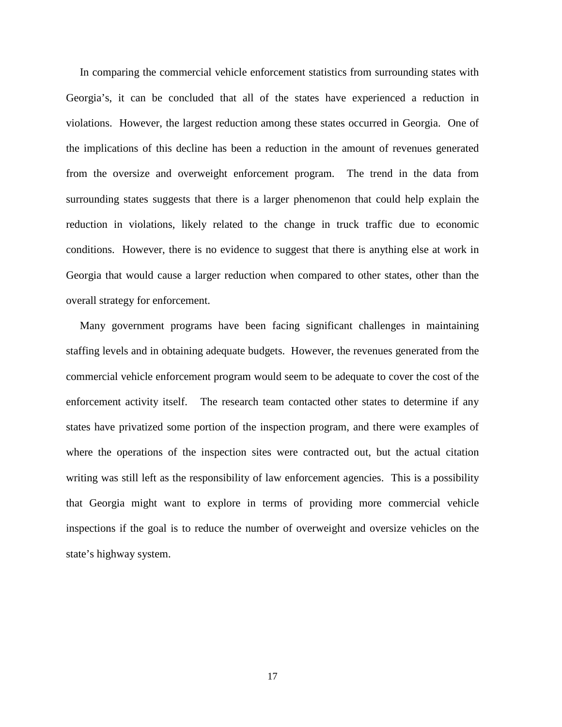In comparing the commercial vehicle enforcement statistics from surrounding states with Georgia's, it can be concluded that all of the states have experienced a reduction in violations. However, the largest reduction among these states occurred in Georgia. One of the implications of this decline has been a reduction in the amount of revenues generated from the oversize and overweight enforcement program. The trend in the data from surrounding states suggests that there is a larger phenomenon that could help explain the reduction in violations, likely related to the change in truck traffic due to economic conditions. However, there is no evidence to suggest that there is anything else at work in Georgia that would cause a larger reduction when compared to other states, other than the overall strategy for enforcement.

 Many government programs have been facing significant challenges in maintaining staffing levels and in obtaining adequate budgets. However, the revenues generated from the commercial vehicle enforcement program would seem to be adequate to cover the cost of the enforcement activity itself. The research team contacted other states to determine if any states have privatized some portion of the inspection program, and there were examples of where the operations of the inspection sites were contracted out, but the actual citation writing was still left as the responsibility of law enforcement agencies. This is a possibility that Georgia might want to explore in terms of providing more commercial vehicle inspections if the goal is to reduce the number of overweight and oversize vehicles on the state's highway system.

17